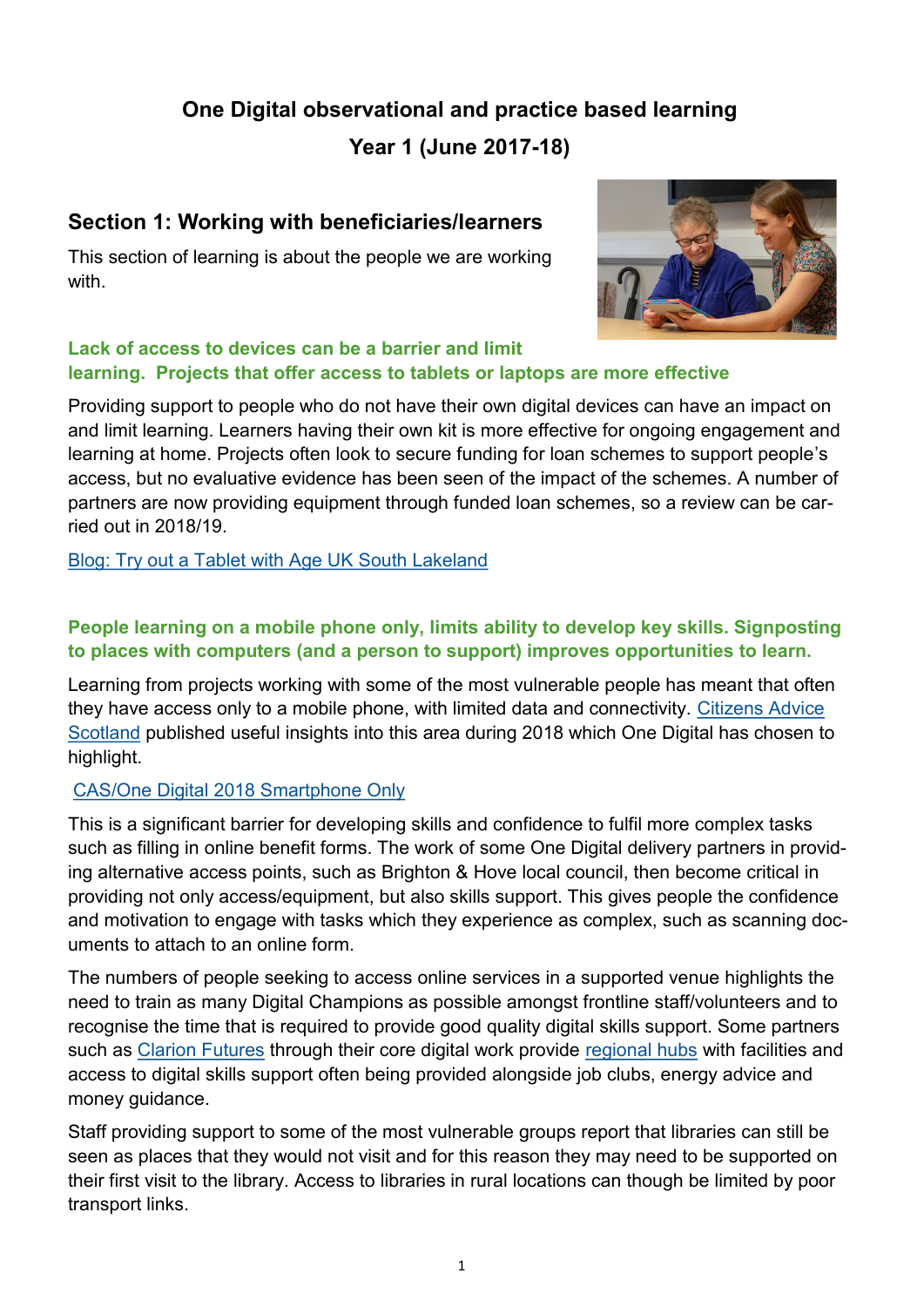# **One Digital observational and practice based learning**

**Year 1 (June 2017-18)**

## **Section 1: Working with beneficiaries/learners**

This section of learning is about the people we are working with.



#### **Lack of access to devices can be a barrier and limit learning. Projects that offer access to tablets or laptops are more effective**

Providing support to people who do not have their own digital devices can have an impact on and limit learning. Learners having their own kit is more effective for ongoing engagement and learning at home. Projects often look to secure funding for loan schemes to support people's access, but no evaluative evidence has been seen of the impact of the schemes. A number of partners are now providing equipment through funded loan schemes, so a review can be carried out in 2018/19.

[Blog: Try out a Tablet with Age UK South Lakeland](https://bit.ly/2FLmVNN)

## **People learning on a mobile phone only, limits ability to develop key skills. Signposting to places with computers (and a person to support) improves opportunities to learn.**

Learning from projects working with some of the most vulnerable people has meant that often they have access only to a mobile phone, with limited data and connectivity. [Citizens Advice](https://www.cas.org.uk/)  [Scotland](https://www.cas.org.uk/) published useful insights into this area during 2018 which One Digital has chosen to highlight.

## [CAS/One Digital 2018 Smartphone Only](https://onedigitaluk.com/latest-news/2018/10/10/smartphone-only-internet-users-locked-out-of-digital-life/)

This is a significant barrier for developing skills and confidence to fulfil more complex tasks such as filling in online benefit forms. The work of some One Digital delivery partners in providing alternative access points, such as Brighton & Hove local council, then become critical in providing not only access/equipment, but also skills support. This gives people the confidence and motivation to engage with tasks which they experience as complex, such as scanning documents to attach to an online form.

The numbers of people seeking to access online services in a supported venue highlights the need to train as many Digital Champions as possible amongst frontline staff/volunteers and to recognise the time that is required to provide good quality digital skills support. Some partners such as [Clarion Futures](http://www.clarionhg.com/charitable-foundation/clarion-futures-communities/) through their core digital work provide [regional hubs](https://www.myclarionhousing.com/your-community-and-local-area/local_news/2018/01/29/bancroft_are_go/) with facilities and access to digital skills support often being provided alongside job clubs, energy advice and money guidance.

Staff providing support to some of the most vulnerable groups report that libraries can still be seen as places that they would not visit and for this reason they may need to be supported on their first visit to the library. Access to libraries in rural locations can though be limited by poor transport links.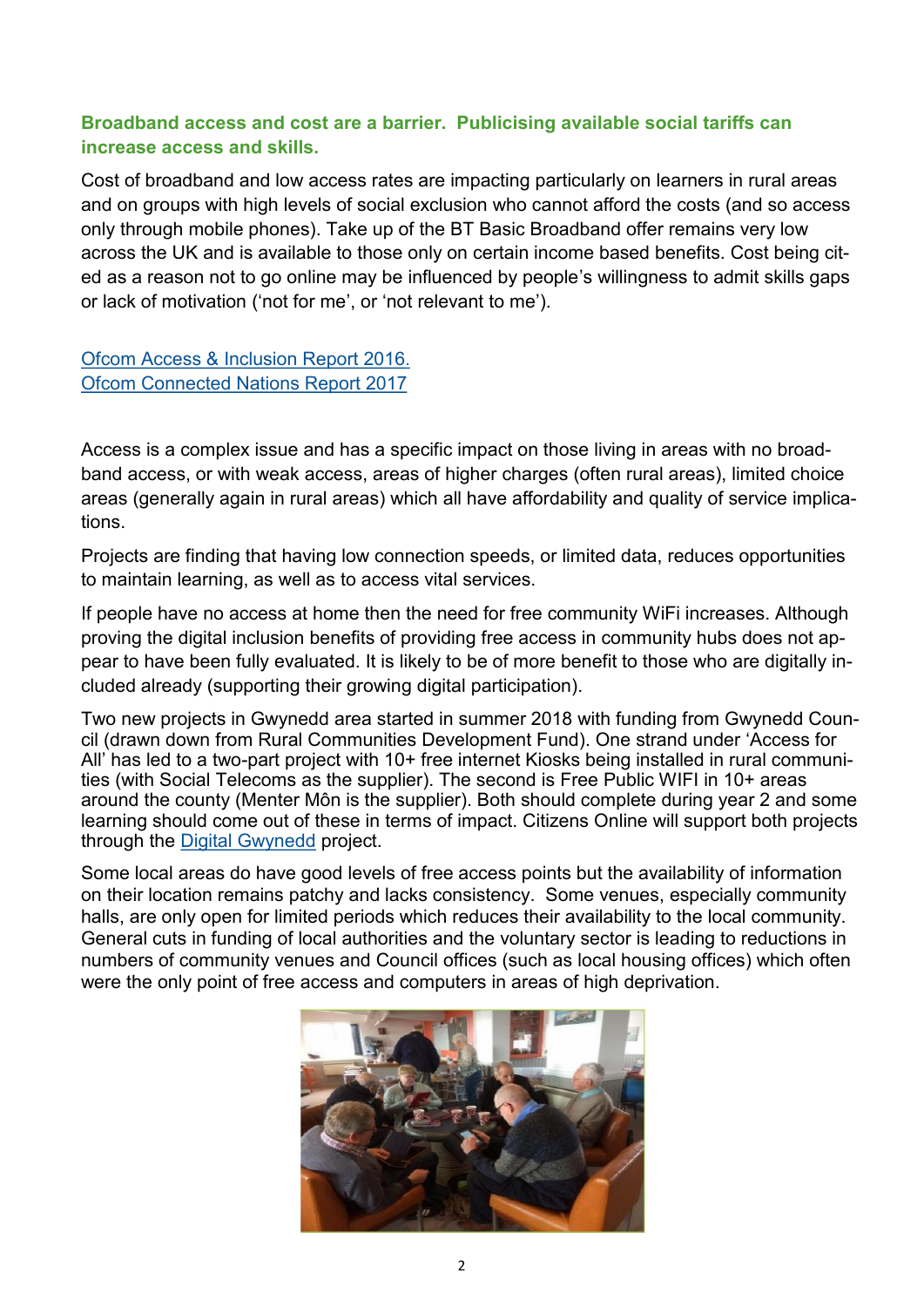#### **Broadband access and cost are a barrier. Publicising available social tariffs can increase access and skills.**

Cost of broadband and low access rates are impacting particularly on learners in rural areas and on groups with high levels of social exclusion who cannot afford the costs (and so access only through mobile phones). Take up of the BT Basic Broadband offer remains very low across the UK and is available to those only on certain income based benefits. Cost being cited as a reason not to go online may be influenced by people's willingness to admit skills gaps or lack of motivation ('not for me', or 'not relevant to me').

[Ofcom Access & Inclusion Report 2016.](https://www.ofcom.org.uk/__data/assets/pdf_file/0030/98508/access-inclusion-report-2016.pdf) [Ofcom Connected Nations Report 2017](https://www.ofcom.org.uk/__data/assets/pdf_file/0024/108843/summary-report-connected-nations-2017.pdf)

Access is a complex issue and has a specific impact on those living in areas with no broadband access, or with weak access, areas of higher charges (often rural areas), limited choice areas (generally again in rural areas) which all have affordability and quality of service implications.

Projects are finding that having low connection speeds, or limited data, reduces opportunities to maintain learning, as well as to access vital services.

If people have no access at home then the need for free community WiFi increases. Although proving the digital inclusion benefits of providing free access in community hubs does not appear to have been fully evaluated. It is likely to be of more benefit to those who are digitally included already (supporting their growing digital participation).

Two new projects in Gwynedd area started in summer 2018 with funding from Gwynedd Council (drawn down from Rural Communities Development Fund). One strand under 'Access for All' has led to a two-part project with 10+ free internet Kiosks being installed in rural communities (with Social Telecoms as the supplier). The second is Free Public WIFI in 10+ areas around the county (Menter Môn is the supplier). Both should complete during year 2 and some learning should come out of these in terms of impact. Citizens Online will support both projects through the [Digital Gwynedd](https://www.digitalgwynedd.wales/) project.

Some local areas do have good levels of free access points but the availability of information on their location remains patchy and lacks consistency. Some venues, especially community halls, are only open for limited periods which reduces their availability to the local community. General cuts in funding of local authorities and the voluntary sector is leading to reductions in numbers of community venues and Council offices (such as local housing offices) which often were the only point of free access and computers in areas of high deprivation.